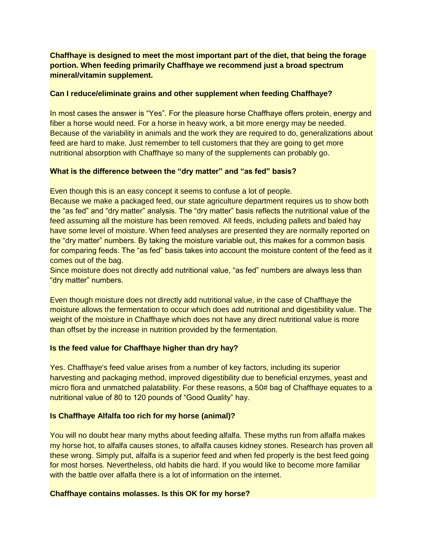**Chaffhaye is designed to meet the most important part of the diet, that being the forage portion. When feeding primarily Chaffhaye we recommend just a broad spectrum mineral/vitamin supplement.**

### **Can I reduce/eliminate grains and other supplement when feeding Chaffhaye?**

In most cases the answer is "Yes". For the pleasure horse Chaffhaye offers protein, energy and fiber a horse would need. For a horse in heavy work, a bit more energy may be needed. Because of the variability in animals and the work they are required to do, generalizations about feed are hard to make. Just remember to tell customers that they are going to get more nutritional absorption with Chaffhaye so many of the supplements can probably go.

## **What is the difference between the "dry matter" and "as fed" basis?**

Even though this is an easy concept it seems to confuse a lot of people.

Because we make a packaged feed, our state agriculture department requires us to show both the "as fed" and "dry matter" analysis. The "dry matter" basis reflects the nutritional value of the feed assuming all the moisture has been removed. All feeds, including pallets and baled hay have some level of moisture. When feed analyses are presented they are normally reported on the "dry matter" numbers. By taking the moisture variable out, this makes for a common basis for comparing feeds. The "as fed" basis takes into account the moisture content of the feed as it comes out of the bag.

Since moisture does not directly add nutritional value, "as fed" numbers are always less than "dry matter" numbers.

Even though moisture does not directly add nutritional value, in the case of Chaffhaye the moisture allows the fermentation to occur which does add nutritional and digestibility value. The weight of the moisture in Chaffhaye which does not have any direct nutritional value is more than offset by the increase in nutrition provided by the fermentation.

## **Is the feed value for Chaffhaye higher than dry hay?**

Yes. Chaffhaye's feed value arises from a number of key factors, including its superior harvesting and packaging method, improved digestibility due to beneficial enzymes, yeast and micro flora and unmatched palatability. For these reasons, a 50# bag of Chaffhaye equates to a nutritional value of 80 to 120 pounds of "Good Quality" hay.

## **Is Chaffhaye Alfalfa too rich for my horse (animal)?**

You will no doubt hear many myths about feeding alfalfa. These myths run from alfalfa makes my horse hot, to alfalfa causes stones, to alfalfa causes kidney stones. Research has proven all these wrong. Simply put, alfalfa is a superior feed and when fed properly is the best feed going for most horses. Nevertheless, old habits die hard. If you would like to become more familiar with the battle over alfalfa there is a lot of information on the internet.

#### **Chaffhaye contains molasses. Is this OK for my horse?**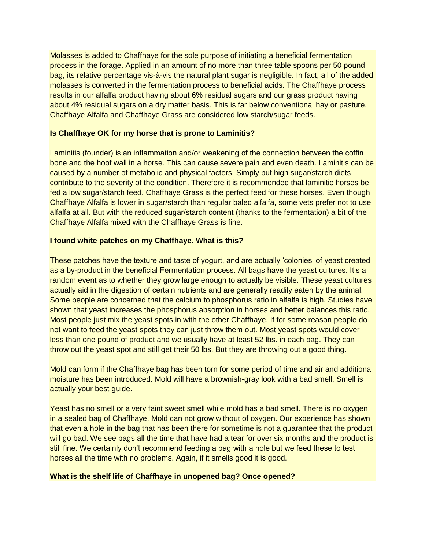Molasses is added to Chaffhaye for the sole purpose of initiating a beneficial fermentation process in the forage. Applied in an amount of no more than three table spoons per 50 pound bag, its relative percentage vis-à-vis the natural plant sugar is negligible. In fact, all of the added molasses is converted in the fermentation process to beneficial acids. The Chaffhaye process results in our alfalfa product having about 6% residual sugars and our grass product having about 4% residual sugars on a dry matter basis. This is far below conventional hay or pasture. Chaffhaye Alfalfa and Chaffhaye Grass are considered low starch/sugar feeds.

### **Is Chaffhaye OK for my horse that is prone to Laminitis?**

Laminitis (founder) is an inflammation and/or weakening of the connection between the coffin bone and the hoof wall in a horse. This can cause severe pain and even death. Laminitis can be caused by a number of metabolic and physical factors. Simply put high sugar/starch diets contribute to the severity of the condition. Therefore it is recommended that laminitic horses be fed a low sugar/starch feed. Chaffhaye Grass is the perfect feed for these horses. Even though Chaffhaye Alfalfa is lower in sugar/starch than regular baled alfalfa, some vets prefer not to use alfalfa at all. But with the reduced sugar/starch content (thanks to the fermentation) a bit of the Chaffhaye Alfalfa mixed with the Chaffhaye Grass is fine.

### **I found white patches on my Chaffhaye. What is this?**

These patches have the texture and taste of yogurt, and are actually 'colonies' of yeast created as a by-product in the beneficial Fermentation process. All bags have the yeast cultures. It's a random event as to whether they grow large enough to actually be visible. These yeast cultures actually aid in the digestion of certain nutrients and are generally readily eaten by the animal. Some people are concerned that the calcium to phosphorus ratio in alfalfa is high. Studies have shown that yeast increases the phosphorus absorption in horses and better balances this ratio. Most people just mix the yeast spots in with the other Chaffhaye. If for some reason people do not want to feed the yeast spots they can just throw them out. Most yeast spots would cover less than one pound of product and we usually have at least 52 lbs. in each bag. They can throw out the yeast spot and still get their 50 lbs. But they are throwing out a good thing.

Mold can form if the Chaffhaye bag has been torn for some period of time and air and additional moisture has been introduced. Mold will have a brownish-gray look with a bad smell. Smell is actually your best guide.

Yeast has no smell or a very faint sweet smell while mold has a bad smell. There is no oxygen in a sealed bag of Chaffhaye. Mold can not grow without of oxygen. Our experience has shown that even a hole in the bag that has been there for sometime is not a guarantee that the product will go bad. We see bags all the time that have had a tear for over six months and the product is still fine. We certainly don't recommend feeding a bag with a hole but we feed these to test horses all the time with no problems. Again, if it smells good it is good.

#### **What is the shelf life of Chaffhaye in unopened bag? Once opened?**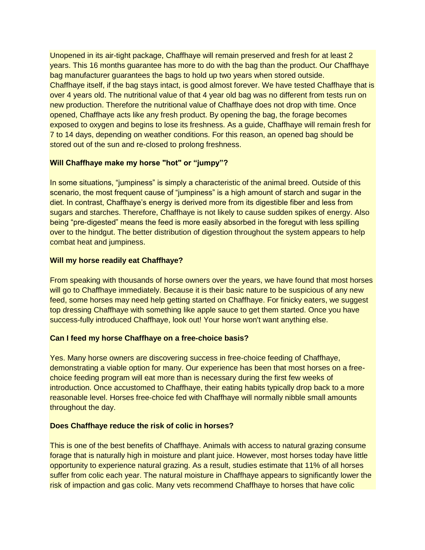Unopened in its air-tight package, Chaffhaye will remain preserved and fresh for at least 2 years. This 16 months guarantee has more to do with the bag than the product. Our Chaffhaye bag manufacturer guarantees the bags to hold up two years when stored outside. Chaffhaye itself, if the bag stays intact, is good almost forever. We have tested Chaffhaye that is over 4 years old. The nutritional value of that 4 year old bag was no different from tests run on new production. Therefore the nutritional value of Chaffhaye does not drop with time. Once opened, Chaffhaye acts like any fresh product. By opening the bag, the forage becomes exposed to oxygen and begins to lose its freshness. As a guide, Chaffhaye will remain fresh for 7 to 14 days, depending on weather conditions. For this reason, an opened bag should be stored out of the sun and re-closed to prolong freshness.

# **Will Chaffhaye make my horse "hot" or "jumpy"?**

In some situations, "jumpiness" is simply a characteristic of the animal breed. Outside of this scenario, the most frequent cause of "jumpiness" is a high amount of starch and sugar in the diet. In contrast, Chaffhaye's energy is derived more from its digestible fiber and less from sugars and starches. Therefore, Chaffhaye is not likely to cause sudden spikes of energy. Also being "pre-digested" means the feed is more easily absorbed in the foregut with less spilling over to the hindgut. The better distribution of digestion throughout the system appears to help combat heat and jumpiness.

## **Will my horse readily eat Chaffhaye?**

From speaking with thousands of horse owners over the years, we have found that most horses will go to Chaffhaye immediately. Because it is their basic nature to be suspicious of any new feed, some horses may need help getting started on Chaffhaye. For finicky eaters, we suggest top dressing Chaffhaye with something like apple sauce to get them started. Once you have success-fully introduced Chaffhaye, look out! Your horse won't want anything else.

## **Can I feed my horse Chaffhaye on a free-choice basis?**

Yes. Many horse owners are discovering success in free-choice feeding of Chaffhaye, demonstrating a viable option for many. Our experience has been that most horses on a freechoice feeding program will eat more than is necessary during the first few weeks of introduction. Once accustomed to Chaffhaye, their eating habits typically drop back to a more reasonable level. Horses free-choice fed with Chaffhaye will normally nibble small amounts throughout the day.

## **Does Chaffhaye reduce the risk of colic in horses?**

This is one of the best benefits of Chaffhaye. Animals with access to natural grazing consume forage that is naturally high in moisture and plant juice. However, most horses today have little opportunity to experience natural grazing. As a result, studies estimate that 11% of all horses suffer from colic each year. The natural moisture in Chaffhaye appears to significantly lower the risk of impaction and gas colic. Many vets recommend Chaffhaye to horses that have colic